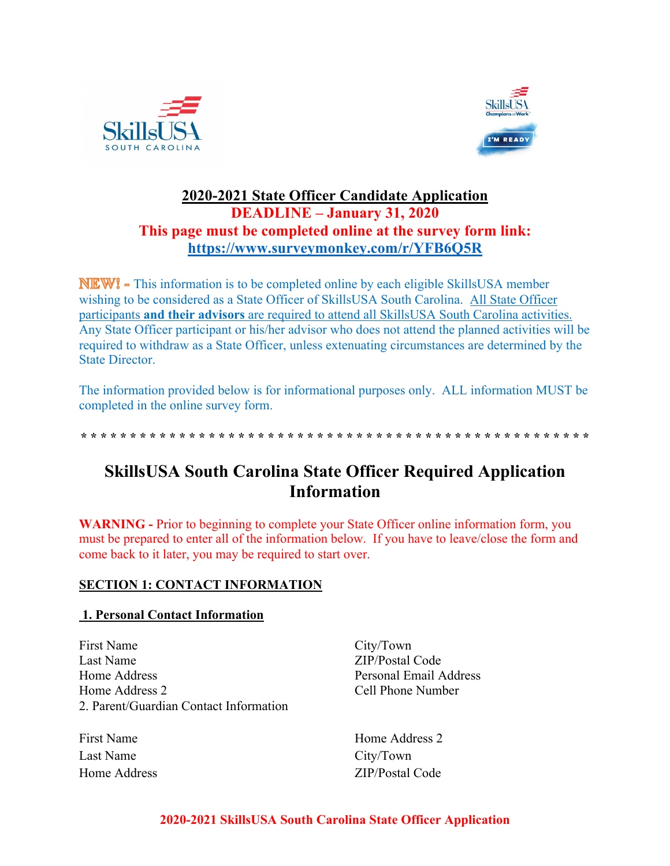



## **2020-2021 State Officer Candidate Application DEADLINE – January 31, 2020 This page must be completed online at the survey form link: https://www.surveymonkey.com/r/YFB6Q5R**

**NEW!** - This information is to be completed online by each eligible SkillsUSA member wishing to be considered as a State Officer of SkillsUSA South Carolina. All State Officer participants **and their advisors** are required to attend all SkillsUSA South Carolina activities. Any State Officer participant or his/her advisor who does not attend the planned activities will be required to withdraw as a State Officer, unless extenuating circumstances are determined by the State Director.

The information provided below is for informational purposes only. ALL information MUST be completed in the online survey form.

**\* \* \* \* \* \* \* \* \* \* \* \* \* \* \* \* \* \* \* \* \* \* \* \* \* \* \* \* \* \* \* \* \* \* \* \* \* \* \* \* \* \* \* \* \* \* \* \* \* \* \* \*** 

# **SkillsUSA South Carolina State Officer Required Application Information**

**WARNING -** Prior to beginning to complete your State Officer online information form, you must be prepared to enter all of the information below. If you have to leave/close the form and come back to it later, you may be required to start over.

### **SECTION 1: CONTACT INFORMATION**

### **1. Personal Contact Information**

First Name Last Name Home Address Home Address 2 2. Parent/Guardian Contact Information

First Name Last Name Home Address

City/Town ZIP/Postal Code Personal Email Address Cell Phone Number

Home Address 2 City/Town ZIP/Postal Code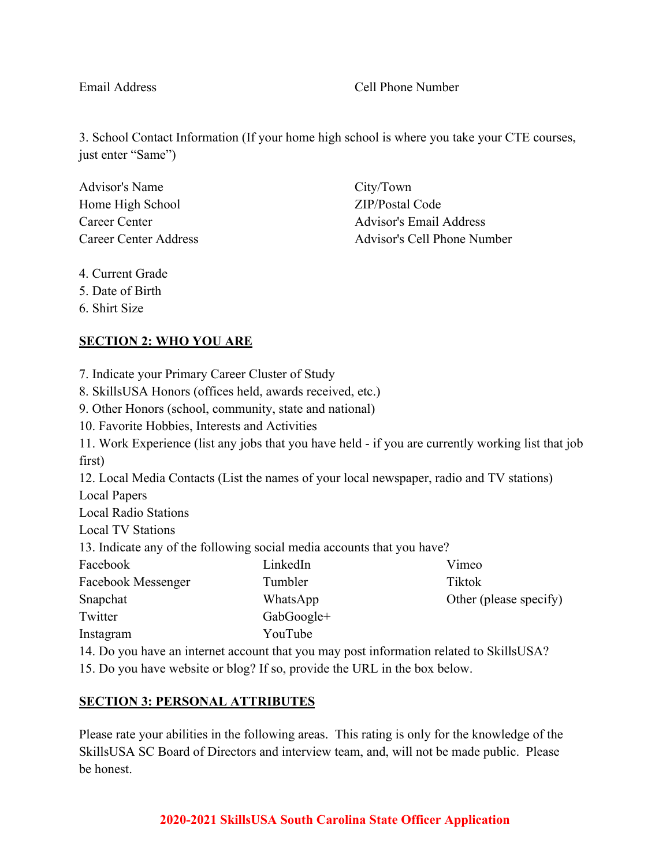### Email Address Cell Phone Number

3. School Contact Information (If your home high school is where you take your CTE courses, just enter "Same")

| <b>Advisor's Name</b> |
|-----------------------|
| Home High School      |
| Career Center         |
| Career Center Address |

City/Town ZIP/Postal Code Advisor's Email Address Advisor's Cell Phone Number

4. Current Grade

5. Date of Birth

6. Shirt Size

### **SECTION 2: WHO YOU ARE**

7. Indicate your Primary Career Cluster of Study

8. SkillsUSA Honors (offices held, awards received, etc.)

9. Other Honors (school, community, state and national)

10. Favorite Hobbies, Interests and Activities

11. Work Experience (list any jobs that you have held - if you are currently working list that job first)

12. Local Media Contacts (List the names of your local newspaper, radio and TV stations) Local Papers

Local Radio Stations

Local TV Stations

13. Indicate any of the following social media accounts that you have?

| Facebook           | LinkedIn   | Vimeo                                                              |
|--------------------|------------|--------------------------------------------------------------------|
| Facebook Messenger | Tumbler    | Tiktok                                                             |
| Snapchat           | WhatsApp   | Other (please specify)                                             |
| Twitter            | GabGoogle+ |                                                                    |
| Instagram          | YouTube    |                                                                    |
|                    |            | $14.7$ $1 \t3.4$ $1 \t4.1$ $1 \t5.1$ $1 \t6.1$ $1 \t1.1$ $1 \t1.1$ |

14. Do you have an internet account that you may post information related to SkillsUSA?

15. Do you have website or blog? If so, provide the URL in the box below.

### **SECTION 3: PERSONAL ATTRIBUTES**

Please rate your abilities in the following areas. This rating is only for the knowledge of the SkillsUSA SC Board of Directors and interview team, and, will not be made public. Please be honest.